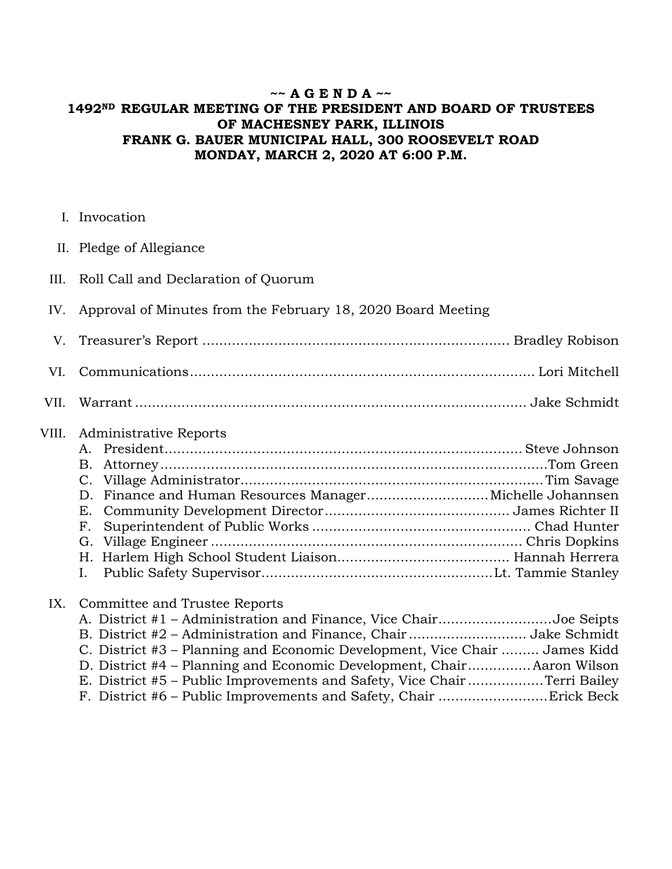## **~~ A G E N D A ~~ 1492ND REGULAR MEETING OF THE PRESIDENT AND BOARD OF TRUSTEES OF MACHESNEY PARK, ILLINOIS FRANK G. BAUER MUNICIPAL HALL, 300 ROOSEVELT ROAD MONDAY, MARCH 2, 2020 AT 6:00 P.M.**

- I. Invocation
- II. Pledge of Allegiance
- III. Roll Call and Declaration of Quorum
- IV. Approval of Minutes from the February 18, 2020 Board Meeting

## VIII. Administrative Reports

## IX. Committee and Trustee Reports

| A. District #1 - Administration and Finance, Vice ChairJoe Seipts          |  |
|----------------------------------------------------------------------------|--|
|                                                                            |  |
| C. District #3 – Planning and Economic Development, Vice Chair  James Kidd |  |
| D. District #4 – Planning and Economic Development, Chair Aaron Wilson     |  |
| E. District #5 – Public Improvements and Safety, Vice Chair Terri Bailey   |  |
|                                                                            |  |